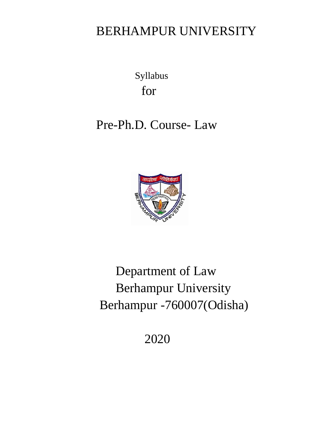# BERHAMPUR UNIVERSITY

Syllabus for

# Pre-Ph.D. Course- Law



# Department of Law Berhampur University Berhampur -760007(Odisha)

2020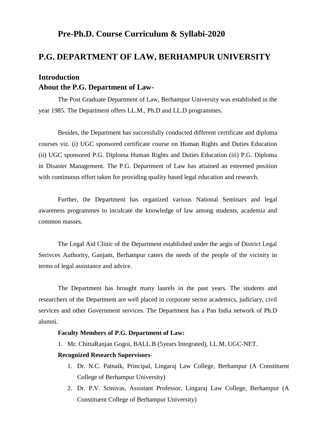# **Pre-Ph.D. Course Curriculum & Syllabi-2020**

# **P.G. DEPARTMENT OF LAW, BERHAMPUR UNIVERSITY**

# **Introduction About the P.G. Department of Law-**

The Post Graduate Department of Law, Berhampur University was established in the year 1985. The Department offers LL.M., Ph.D and LL.D programmes.

Besides, the Department has successfully conducted different certificate and diploma courses viz. (i) UGC sponsored certificate course on Human Rights and Duties Education (ii) UGC sponsored P.G. Diploma Human Rights and Duties Education (iii) P.G. Diploma in Disaster Management. The P.G. Department of Law has attained an esteemed position with continuous effort taken for providing quality based legal education and research.

Further, the Department has organized various National Seminars and legal awareness programmes to inculcate the knowledge of law among students, academia and common masses.

The Legal Aid Clinic of the Department established under the aegis of District Legal Serivces Authority, Ganjam, Berhampur caters the needs of the people of the vicinity in terms of legal assistance and advice.

The Department has brought many laurels in the past years. The students and researchers of the Department are well placed in corporate sector academics, judiciary, civil services and other Government services. The Department has a Pan India network of Ph.D alumni.

### **Faculty Members of P.G. Department of Law:**

1. Mr. ChittaRanjan Gogoi, BALL.B (5years Integrated), LL.M. UGC-NET.

### **Recognized Research Supervisors**-

- 1. Dr. N.C. Patnaik, Principal, Lingaraj Law College, Berhampur (A Constituent College of Berhampur University)
- 2. Dr. P.V. Srinivas, Assistant Professor, Lingaraj Law College, Berhampur (A Constituent College of Berhampur University)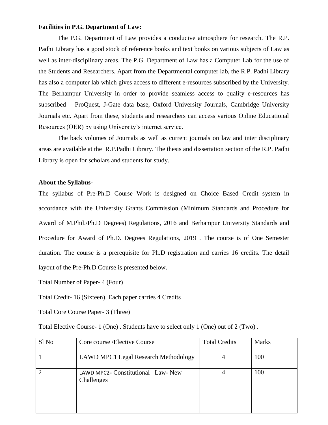### **Facilities in P.G. Department of Law:**

The P.G. Department of Law provides a conducive atmosphere for research. The R.P. Padhi Library has a good stock of reference books and text books on various subjects of Law as well as inter-disciplinary areas. The P.G. Department of Law has a Computer Lab for the use of the Students and Researchers. Apart from the Departmental computer lab, the R.P. Padhi Library has also a computer lab which gives access to different e-resources subscribed by the University. The Berhampur University in order to provide seamless access to quality e-resources has subscribed ProQuest, J-Gate data base, Oxford University Journals, Cambridge University Journals etc. Apart from these, students and researchers can access various Online Educational Resources (OER) by using University's internet service.

The back volumes of Journals as well as current journals on law and inter disciplinary areas are available at the R.P.Padhi Library. The thesis and dissertation section of the R.P. Padhi Library is open for scholars and students for study.

### **About the Syllabus-**

The syllabus of Pre-Ph.D Course Work is designed on Choice Based Credit system in accordance with the University Grants Commission (Minimum Standards and Procedure for Award of M.Phil./Ph.D Degrees) Regulations, 2016 and Berhampur University Standards and Procedure for Award of Ph.D. Degrees Regulations, 2019 . The course is of One Semester duration. The course is a prerequisite for Ph.D registration and carries 16 credits. The detail layout of the Pre-Ph.D Course is presented below.

Total Number of Paper- 4 (Four)

Total Credit- 16 (Sixteen). Each paper carries 4 Credits

Total Core Course Paper- 3 (Three)

Total Elective Course- 1 (One) . Students have to select only 1 (One) out of 2 (Two) .

| Sl No | Core course / Elective Course                    | <b>Total Credits</b> | <b>Marks</b> |
|-------|--------------------------------------------------|----------------------|--------------|
|       | <b>LAWD MPC1 Legal Research Methodology</b>      |                      | 100          |
|       | LAWD MPC2- Constitutional Law- New<br>Challenges |                      | 100          |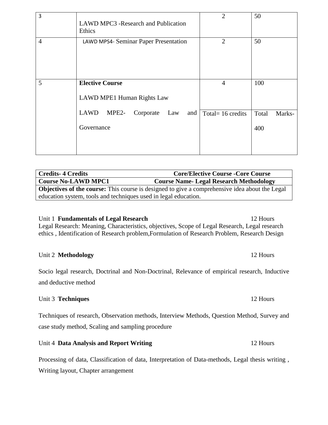| 3              | <b>LAWD MPC3 -Research and Publication</b><br>Ethics                                             | 2                                     | 50                     |
|----------------|--------------------------------------------------------------------------------------------------|---------------------------------------|------------------------|
| $\overline{4}$ | LAWD MPS4- Seminar Paper Presentation                                                            | $\overline{2}$                        | 50                     |
| 5              | <b>Elective Course</b><br>LAWD MPE1 Human Rights Law<br>LAWD<br>MPE2-<br>Corporate<br>Law<br>and | $\overline{4}$<br>Total= $16$ credits | 100<br>Total<br>Marks- |
|                | Governance                                                                                       |                                       | 400                    |

| <b>Credits-4 Credits</b>                                                                              | <b>Core/Elective Course - Core Course</b>     |
|-------------------------------------------------------------------------------------------------------|-----------------------------------------------|
| <b>Course No-LAWD MPC1</b>                                                                            | <b>Course Name-Legal Research Methodology</b> |
| <b>Objectives of the course:</b> This course is designed to give a comprehensive idea about the Legal |                                               |
| education system, tools and techniques used in legal education.                                       |                                               |

Unit 1 **Fundamentals of Legal Research** 12 Hours Legal Research: Meaning, Characteristics, objectives, Scope of Legal Research, Legal research ethics , Identification of Research problem,Formulation of Research Problem, Research Design

# Unit 2 **Methodology** 12 Hours

Socio legal research, Doctrinal and Non-Doctrinal, Relevance of empirical research, Inductive and deductive method

# Unit 3 **Techniques** 12 Hours

Techniques of research, Observation methods, Interview Methods, Question Method, Survey and case study method, Scaling and sampling procedure

Unit 4 **Data Analysis and Report Writing** 12 Hours

Processing of data, Classification of data, Interpretation of Data-methods, Legal thesis writing , Writing layout, Chapter arrangement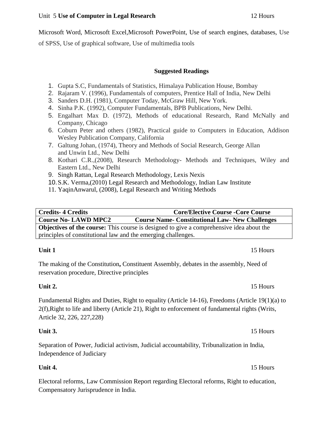# Unit 5 Use of Computer in Legal Research **12 Hours 12 Hours**

Microsoft Word, Microsoft Excel,Microsoft PowerPoint, Use of search engines, databases, Use of SPSS, Use of graphical software, Use of multimedia tools

**Suggested Readings** 

- 1. Gupta S.C, Fundamentals of Statistics, Himalaya Publication House, Bombay
- 2. Rajaram V. (1996), Fundamentals of computers, Prentice Hall of India, New Delhi
- 3. Sanders D.H. (1981), Computer Today, McGraw Hill, New York.
- 4. Sinha P.K. (1992), Computer Fundamentals, BPB Publications, New Delhi.
- 5. Engalhart Max D. (1972), Methods of educational Research, Rand McNally and Company, Chicago
- 6. Coburn Peter and others (1982), Practical guide to Computers in Education, Addison Wesley Publication Company, California
- 7. Galtung Johan, (1974), Theory and Methods of Social Research, George Allan and Unwin Ltd., New Delhi
- 8. Kothari C.R.,(2008), Research Methodology- Methods and Techniques, Wiley and Eastern Ltd., New Delhi
- 9. Singh Rattan, Legal Research Methodology, Lexis Nexis
- 10.[S.K. Verma,\(2010\) Legal Research and Methodology,](https://lawbookshop.net/index.php?route=extension/author&author_id=232) Indian Law Institute
- 11. [YaqinA](https://lawbookshop.net/index.php?route=extension/author&author_id=1954)nwarul, (2008), [Legal Research and Writing Methods](https://lawbookshop.net/legal-research-writing-methods-anwarul-yaqin.html)

| <b>Credits-4 Credits</b>                                                                        | <b>Core/Elective Course - Core Course</b>              |  |
|-------------------------------------------------------------------------------------------------|--------------------------------------------------------|--|
| <b>Course No- LAWD MPC2</b>                                                                     | <b>Course Name- Constitutional Law- New Challenges</b> |  |
| <b>Objectives of the course:</b> This course is designed to give a comprehensive idea about the |                                                        |  |
| principles of constitutional law and the emerging challenges.                                   |                                                        |  |
|                                                                                                 |                                                        |  |

# **Unit 1** 15 Hours

The making of the Constitution**,** Constituent Assembly, debates in the assembly, Need of reservation procedure, Directive principles

Fundamental Rights and Duties, Right to equality (Article 14-16), Freedoms (Article 19(1)(a) to 2(f),Right to life and liberty (Article 21), Right to enforcement of fundamental rights (Writs, Article 32, 226, 227,228)

Separation of Power, Judicial activism, Judicial accountability, Tribunalization in India, Independence of Judiciary

Electoral reforms, Law Commission Report regarding Electoral reforms, Right to education, Compensatory Jurisprudence in India.

# **Unit 2.** 15 Hours

# **Unit 3.** 15 Hours

# **Unit 4.** 15 Hours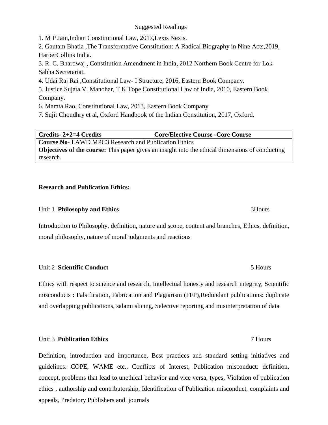### Suggested Readings

1. M P Jain,Indian Constitutional Law, 2017,Lexis Nexis.

2. Gautam Bhatia [,The Transformative Constitution: A Radical Biography in Nine Acts,](http://93.174.95.29/main/BAF98FF985C4C87735A9028E80B3A3D9)2019, HarperCollins India.

3. R. C. Bhardwaj , [Constitution Amendment in India,](http://93.174.95.29/main/03086DF90D86BA0F58A96718D908EEFE) 2012 Northern Book Centre for Lok Sabha Secretariat.

4. Udai Raj Rai [,Constitutional Law-](https://www.ebcwebstore.com/product_info.php?products_id=100424) I Structure, 2016, Eastern Book Company.

5. Justice Sujata V. Manohar, T K Tope Constitutional Law of India, 2010, Eastern Book Company.

6. Mamta Rao, Constitutional Law, 2013, Eastern Book Company

7. [Sujit Choudhry](https://www.amazon.in/s/ref=dp_byline_sr_book_2?ie=UTF8&field-author=Sujit+Choudhry&search-alias=stripbooks) et al, Oxford Handbook of the Indian Constitution, 2017, Oxford.

**Credits- 2+2=4 Credits Core/Elective Course -Core Course Course No-** LAWD MPC3 Research and Publication Ethics **Objectives of the course:** This paper gives an insight into the ethical dimensions of conducting research.

# **Research and Publication Ethics:**

# Unit 1 **Philosophy and Ethics** 3Hours

Introduction to Philosophy, definition, nature and scope, content and branches, Ethics, definition, moral philosophy, nature of moral judgments and reactions

# Unit 2 **Scientific Conduct** 5 Hours

Ethics with respect to science and research, Intellectual honesty and research integrity, Scientific misconducts : Falsification, Fabrication and Plagiarism (FFP),Redundant publications: duplicate and overlapping publications, salami slicing, Selective reporting and misinterpretation of data

# Unit 3 **Publication Ethics** 7 Hours

Definition, introduction and importance, Best practices and standard setting initiatives and guidelines: COPE, WAME etc., Conflicts of Interest, Publication misconduct: definition, concept, problems that lead to unethical behavior and vice versa, types, Violation of publication ethics , authorship and contributorship, Identification of Publication misconduct, complaints and appeals, Predatory Publishers and journals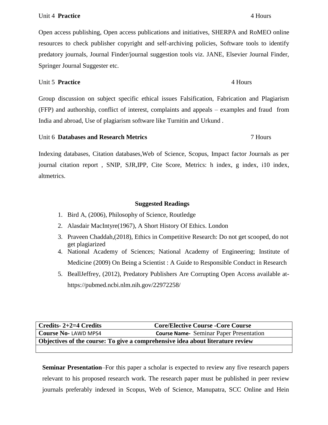Open access publishing, Open access publications and initiatives, SHERPA and RoMEO online resources to check publisher copyright and self-archiving policies, Software tools to identify predatory journals, Journal Finder/journal suggestion tools viz. JANE, Elsevier Journal Finder, Springer Journal Suggester etc.

### Unit 5 **Practice** 4 Hours

Group discussion on subject specific ethical issues Falsification, Fabrication and Plagiarism (FFP) and authorship, conflict of interest, complaints and appeals – examples and fraud from India and abroad, Use of plagiarism software like Turnitin and Urkund .

# Unit 6 **Databases and Research Metrics** 7 Hours

Indexing databases, Citation databases,Web of Science, Scopus, Impact factor Journals as per journal citation report , SNIP, SJR,IPP, Cite Score, Metrics: h index, g index, i10 index, altmetrics.

### **Suggested Readings**

- 1. Bird A, (2006), Philosophy of Science, Routledge
- 2. Alasdair MacIntyre(1967), A Short History Of Ethics. London
- 3. [Praveen Chaddah,](https://store.pothi.com/search/?q=Praveen%20Chaddah)(2018), Ethics in Competitive Research: Do not get scooped, do not get plagiarized
- 4. National Academy of Sciences; National Academy of Engineering; [Institute of](https://www.nap.edu/author/HMD)  [Medicine](https://www.nap.edu/author/HMD) (2009) [On Being a Scientist](https://www.nap.edu/read/12192) : A Guide to Responsible Conduct in Research
- 5. [BeallJ](https://pubmed.ncbi.nlm.nih.gov/?term=Beall+J&cauthor_id=22972258)effrey, (2012), Predatory Publishers Are Corrupting Open Access available at<https://pubmed.ncbi.nlm.nih.gov/22972258/>

| Credits- $2+2=4$ Credits                                                       | <b>Core/Elective Course - Core Course</b>      |
|--------------------------------------------------------------------------------|------------------------------------------------|
| Course No-LAWD MPS4                                                            | <b>Course Name-</b> Seminar Paper Presentation |
| Objectives of the course: To give a comprehensive idea about literature review |                                                |
|                                                                                |                                                |

**Seminar Presentation**–For this paper a scholar is expected to review any five research papers relevant to his proposed research work. The research paper must be published in peer review journals preferably indexed in Scopus, Web of Science, Manupatra, SCC Online and Hein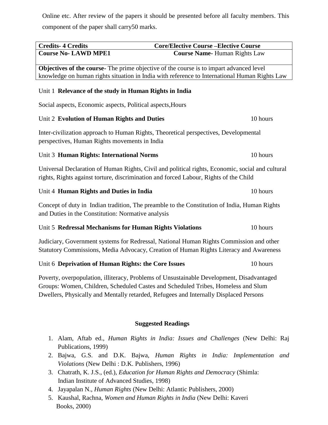Online etc. After review of the papers it should be presented before all faculty members. This component of the paper shall carry50 marks.

| <b>Credits-4 Credits</b>                                                              | <b>Core/Elective Course - Elective Course</b>                                                                                                                                                                                                                           |
|---------------------------------------------------------------------------------------|-------------------------------------------------------------------------------------------------------------------------------------------------------------------------------------------------------------------------------------------------------------------------|
| <b>Course No- LAWD MPE1</b>                                                           | <b>Course Name-Human Rights Law</b>                                                                                                                                                                                                                                     |
|                                                                                       | Objectives of the course- The prime objective of the course is to impart advanced level<br>knowledge on human rights situation in India with reference to International Human Rights Law                                                                                |
| Unit 1 Relevance of the study in Human Rights in India                                |                                                                                                                                                                                                                                                                         |
| Social aspects, Economic aspects, Political aspects, Hours                            |                                                                                                                                                                                                                                                                         |
| Unit 2 Evolution of Human Rights and Duties                                           | 10 hours                                                                                                                                                                                                                                                                |
| perspectives, Human Rights movements in India                                         | Inter-civilization approach to Human Rights, Theoretical perspectives, Developmental                                                                                                                                                                                    |
| Unit 3 Human Rights: International Norms                                              | 10 hours                                                                                                                                                                                                                                                                |
| rights, Rights against torture, discrimination and forced Labour, Rights of the Child | Universal Declaration of Human Rights, Civil and political rights, Economic, social and cultural                                                                                                                                                                        |
| Unit 4 Human Rights and Duties in India                                               | 10 hours                                                                                                                                                                                                                                                                |
| and Duties in the Constitution: Normative analysis                                    | Concept of duty in Indian tradition, The preamble to the Constitution of India, Human Rights                                                                                                                                                                            |
| Unit 5 Redressal Mechanisms for Human Rights Violations                               | 10 hours                                                                                                                                                                                                                                                                |
|                                                                                       | Judiciary, Government systems for Redressal, National Human Rights Commission and other<br>Statutory Commissions, Media Advocacy, Creation of Human Rights Literacy and Awareness                                                                                       |
| Unit 6 Deprivation of Human Rights: the Core Issues                                   | 10 hours                                                                                                                                                                                                                                                                |
|                                                                                       | Poverty, overpopulation, illiteracy, Problems of Unsustainable Development, Disadvantaged<br>Groups: Women, Children, Scheduled Castes and Scheduled Tribes, Homeless and Slum<br>Dwellers, Physically and Mentally retarded, Refugees and Internally Displaced Persons |
|                                                                                       | <b>Suggested Readings</b>                                                                                                                                                                                                                                               |
| Publications, 1999)                                                                   | 1. Alam, Aftab ed., Human Rights in India: Issues and Challenges (New Delhi: Raj                                                                                                                                                                                        |
| 2.                                                                                    | Bajwa, G.S. and D.K. Bajwa, <i>Human Rights in India: Implementation and</i>                                                                                                                                                                                            |

*Violations* (New Delhi : D.K. Publishers, 1996)

- 3. Chatrath, K. J.S., (ed.), *Education for Human Rights and Democracy* (Shimla: Indian Institute of Advanced Studies, 1998)
- 4. Jayapalan N., *Human Rights* (New Delhi: Atlantic Publishers, 2000)
- 5. Kaushal, Rachna, *Women and Human Rights in India* (New Delhi: Kaveri Books, 2000)